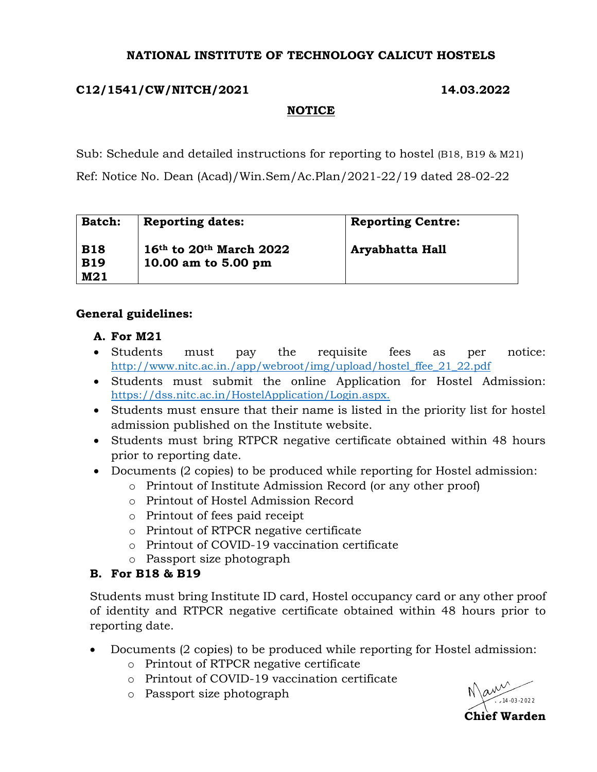#### **NATIONAL INSTITUTE OF TECHNOLOGY CALICUT HOSTELS**

## **C12/1541/CW/NITCH/2021 14.03.2022**

## **NOTICE**

Sub: Schedule and detailed instructions for reporting to hostel (B18, B19 & M21) Ref: Notice No. Dean (Acad)/Win.Sem/Ac.Plan/2021-22/19 dated 28-02-22

| <b>Batch:</b>            | <b>Reporting dates:</b>                              | <b>Reporting Centre:</b> |
|--------------------------|------------------------------------------------------|--------------------------|
| <b>B18</b><br><b>B19</b> | $16th$ to $20th$ March $2022$<br>10.00 am to 5.00 pm | Aryabhatta Hall          |
| M21                      |                                                      |                          |

## **General guidelines:**

### **A. For M21**

- Students must pay the requisite fees as per notice: [http://www.nitc.ac.in./app/webroot/img/upload/hostel\\_ffee\\_21\\_22.pdf](http://www.nitc.ac.in./app/webroot/img/upload/hostel_ffee_21_22.pdf)
- Students must submit the online Application for Hostel Admission: [https://dss.nitc.ac.in/HostelApplication/Login.aspx.](https://dss.nitc.ac.in/HostelApplication/Login.aspx)
- Students must ensure that their name is listed in the priority list for hostel admission published on the Institute website.
- Students must bring RTPCR negative certificate obtained within 48 hours prior to reporting date.
- Documents (2 copies) to be produced while reporting for Hostel admission:
	- o Printout of Institute Admission Record (or any other proof)
	- o Printout of Hostel Admission Record
	- o Printout of fees paid receipt
	- o Printout of RTPCR negative certificate
	- o Printout of COVID-19 vaccination certificate
	- o Passport size photograph

# **B. For B18 & B19**

Students must bring Institute ID card, Hostel occupancy card or any other proof of identity and RTPCR negative certificate obtained within 48 hours prior to reporting date.

- Documents (2 copies) to be produced while reporting for Hostel admission:
	- o Printout of RTPCR negative certificate
	- o Printout of COVID-19 vaccination certificate
	- o Passport size photograph

 $\mathbb{R}^{\mathcal{N}}$ 14-03-2022**Chief Warden**